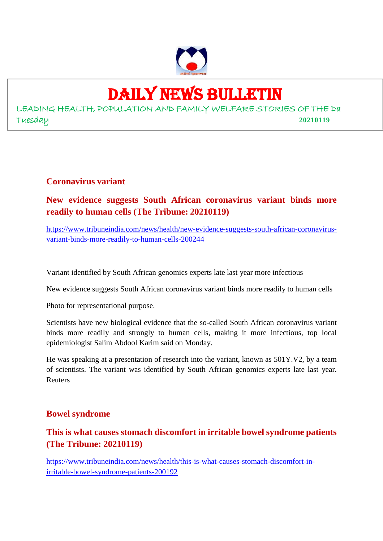

# DAILY NEWS BULLETIN

LEADING HEALTH, POPULATION AND FAMILY WELFARE STORIES OF THE Da Tuesday **20210119**

#### **Coronavirus variant**

#### **New evidence suggests South African coronavirus variant binds more readily to human cells (The Tribune: 20210119)**

https://www.tribuneindia.com/news/health/new-evidence-suggests-south-african-coronavirusvariant-binds-more-readily-to-human-cells-200244

Variant identified by South African genomics experts late last year more infectious

New evidence suggests South African coronavirus variant binds more readily to human cells

Photo for representational purpose.

Scientists have new biological evidence that the so-called South African coronavirus variant binds more readily and strongly to human cells, making it more infectious, top local epidemiologist Salim Abdool Karim said on Monday.

He was speaking at a presentation of research into the variant, known as 501Y.V2, by a team of scientists. The variant was identified by South African genomics experts late last year. Reuters

#### **Bowel syndrome**

#### **This is what causes stomach discomfort in irritable bowel syndrome patients (The Tribune: 20210119)**

https://www.tribuneindia.com/news/health/this-is-what-causes-stomach-discomfort-inirritable-bowel-syndrome-patients-200192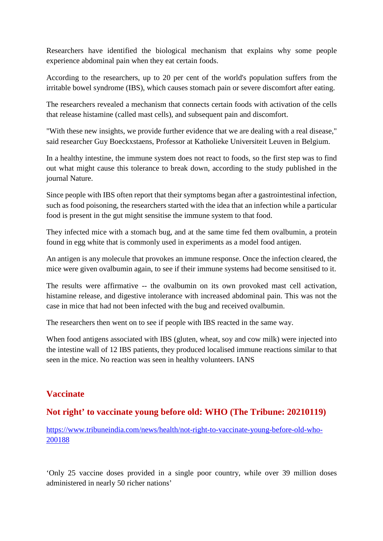Researchers have identified the biological mechanism that explains why some people experience abdominal pain when they eat certain foods.

According to the researchers, up to 20 per cent of the world's population suffers from the irritable bowel syndrome (IBS), which causes stomach pain or severe discomfort after eating.

The researchers revealed a mechanism that connects certain foods with activation of the cells that release histamine (called mast cells), and subsequent pain and discomfort.

"With these new insights, we provide further evidence that we are dealing with a real disease," said researcher Guy Boeckxstaens, Professor at Katholieke Universiteit Leuven in Belgium.

In a healthy intestine, the immune system does not react to foods, so the first step was to find out what might cause this tolerance to break down, according to the study published in the journal Nature.

Since people with IBS often report that their symptoms began after a gastrointestinal infection, such as food poisoning, the researchers started with the idea that an infection while a particular food is present in the gut might sensitise the immune system to that food.

They infected mice with a stomach bug, and at the same time fed them ovalbumin, a protein found in egg white that is commonly used in experiments as a model food antigen.

An antigen is any molecule that provokes an immune response. Once the infection cleared, the mice were given ovalbumin again, to see if their immune systems had become sensitised to it.

The results were affirmative -- the ovalbumin on its own provoked mast cell activation, histamine release, and digestive intolerance with increased abdominal pain. This was not the case in mice that had not been infected with the bug and received ovalbumin.

The researchers then went on to see if people with IBS reacted in the same way.

When food antigens associated with IBS (gluten, wheat, soy and cow milk) were injected into the intestine wall of 12 IBS patients, they produced localised immune reactions similar to that seen in the mice. No reaction was seen in healthy volunteers. IANS

#### **Vaccinate**

#### **Not right' to vaccinate young before old: WHO (The Tribune: 20210119)**

https://www.tribuneindia.com/news/health/not-right-to-vaccinate-young-before-old-who-200188

'Only 25 vaccine doses provided in a single poor country, while over 39 million doses administered in nearly 50 richer nations'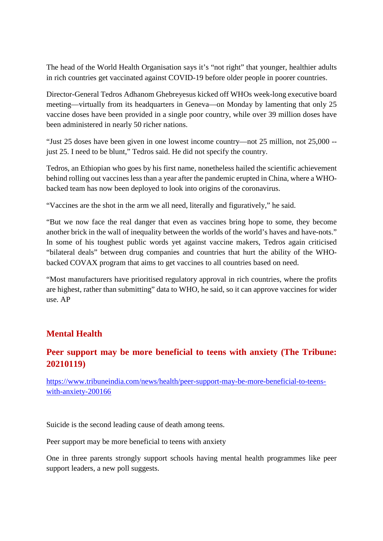The head of the World Health Organisation says it's "not right" that younger, healthier adults in rich countries get vaccinated against COVID-19 before older people in poorer countries.

Director-General Tedros Adhanom Ghebreyesus kicked off WHOs week-long executive board meeting—virtually from its headquarters in Geneva—on Monday by lamenting that only 25 vaccine doses have been provided in a single poor country, while over 39 million doses have been administered in nearly 50 richer nations.

"Just 25 doses have been given in one lowest income country—not 25 million, not 25,000 - just 25. I need to be blunt," Tedros said. He did not specify the country.

Tedros, an Ethiopian who goes by his first name, nonetheless hailed the scientific achievement behind rolling out vaccines less than a year after the pandemic erupted in China, where a WHObacked team has now been deployed to look into origins of the coronavirus.

"Vaccines are the shot in the arm we all need, literally and figuratively," he said.

"But we now face the real danger that even as vaccines bring hope to some, they become another brick in the wall of inequality between the worlds of the world's haves and have-nots." In some of his toughest public words yet against vaccine makers, Tedros again criticised "bilateral deals" between drug companies and countries that hurt the ability of the WHObacked COVAX program that aims to get vaccines to all countries based on need.

"Most manufacturers have prioritised regulatory approval in rich countries, where the profits are highest, rather than submitting" data to WHO, he said, so it can approve vaccines for wider use. AP

#### **Mental Health**

#### **Peer support may be more beneficial to teens with anxiety (The Tribune: 20210119)**

https://www.tribuneindia.com/news/health/peer-support-may-be-more-beneficial-to-teenswith-anxiety-200166

Suicide is the second leading cause of death among teens.

Peer support may be more beneficial to teens with anxiety

One in three parents strongly support schools having mental health programmes like peer support leaders, a new poll suggests.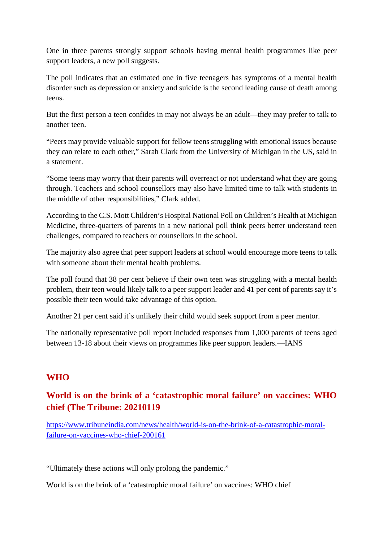One in three parents strongly support schools having mental health programmes like peer support leaders, a new poll suggests.

The poll indicates that an estimated one in five teenagers has symptoms of a mental health disorder such as depression or anxiety and suicide is the second leading cause of death among teens.

But the first person a teen confides in may not always be an adult—they may prefer to talk to another teen.

"Peers may provide valuable support for fellow teens struggling with emotional issues because they can relate to each other," Sarah Clark from the University of Michigan in the US, said in a statement.

"Some teens may worry that their parents will overreact or not understand what they are going through. Teachers and school counsellors may also have limited time to talk with students in the middle of other responsibilities," Clark added.

According to the C.S. Mott Children's Hospital National Poll on Children's Health at Michigan Medicine, three-quarters of parents in a new national poll think peers better understand teen challenges, compared to teachers or counsellors in the school.

The majority also agree that peer support leaders at school would encourage more teens to talk with someone about their mental health problems.

The poll found that 38 per cent believe if their own teen was struggling with a mental health problem, their teen would likely talk to a peer support leader and 41 per cent of parents say it's possible their teen would take advantage of this option.

Another 21 per cent said it's unlikely their child would seek support from a peer mentor.

The nationally representative poll report included responses from 1,000 parents of teens aged between 13-18 about their views on programmes like peer support leaders.—IANS

#### **WHO**

#### **World is on the brink of a 'catastrophic moral failure' on vaccines: WHO chief (The Tribune: 20210119**

https://www.tribuneindia.com/news/health/world-is-on-the-brink-of-a-catastrophic-moralfailure-on-vaccines-who-chief-200161

"Ultimately these actions will only prolong the pandemic."

World is on the brink of a 'catastrophic moral failure' on vaccines: WHO chief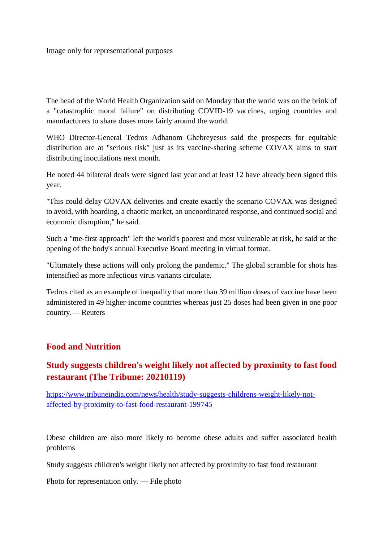Image only for representational purposes

The head of the World Health Organization said on Monday that the world was on the brink of a "catastrophic moral failure" on distributing COVID-19 vaccines, urging countries and manufacturers to share doses more fairly around the world.

WHO Director-General Tedros Adhanom Ghebreyesus said the prospects for equitable distribution are at "serious risk" just as its vaccine-sharing scheme COVAX aims to start distributing inoculations next month.

He noted 44 bilateral deals were signed last year and at least 12 have already been signed this year.

"This could delay COVAX deliveries and create exactly the scenario COVAX was designed to avoid, with hoarding, a chaotic market, an uncoordinated response, and continued social and economic disruption," he said.

Such a "me-first approach" left the world's poorest and most vulnerable at risk, he said at the opening of the body's annual Executive Board meeting in virtual format.

"Ultimately these actions will only prolong the pandemic." The global scramble for shots has intensified as more infectious virus variants circulate.

Tedros cited as an example of inequality that more than 39 million doses of vaccine have been administered in 49 higher-income countries whereas just 25 doses had been given in one poor country.— Reuters

#### **Food and Nutrition**

#### **Study suggests children's weight likely not affected by proximity to fast food restaurant (The Tribune: 20210119)**

https://www.tribuneindia.com/news/health/study-suggests-childrens-weight-likely-notaffected-by-proximity-to-fast-food-restaurant-199745

Obese children are also more likely to become obese adults and suffer associated health problems

Study suggests children's weight likely not affected by proximity to fast food restaurant

Photo for representation only. — File photo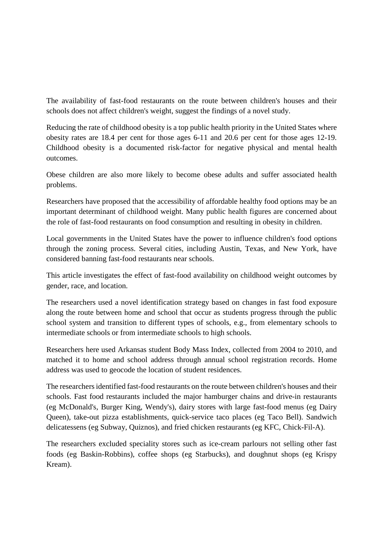The availability of fast-food restaurants on the route between children's houses and their schools does not affect children's weight, suggest the findings of a novel study.

Reducing the rate of childhood obesity is a top public health priority in the United States where obesity rates are 18.4 per cent for those ages 6-11 and 20.6 per cent for those ages 12-19. Childhood obesity is a documented risk-factor for negative physical and mental health outcomes.

Obese children are also more likely to become obese adults and suffer associated health problems.

Researchers have proposed that the accessibility of affordable healthy food options may be an important determinant of childhood weight. Many public health figures are concerned about the role of fast-food restaurants on food consumption and resulting in obesity in children.

Local governments in the United States have the power to influence children's food options through the zoning process. Several cities, including Austin, Texas, and New York, have considered banning fast-food restaurants near schools.

This article investigates the effect of fast-food availability on childhood weight outcomes by gender, race, and location.

The researchers used a novel identification strategy based on changes in fast food exposure along the route between home and school that occur as students progress through the public school system and transition to different types of schools, e.g., from elementary schools to intermediate schools or from intermediate schools to high schools.

Researchers here used Arkansas student Body Mass Index, collected from 2004 to 2010, and matched it to home and school address through annual school registration records. Home address was used to geocode the location of student residences.

The researchers identified fast-food restaurants on the route between children's houses and their schools. Fast food restaurants included the major hamburger chains and drive-in restaurants (eg McDonald's, Burger King, Wendy's), dairy stores with large fast-food menus (eg Dairy Queen), take-out pizza establishments, quick-service taco places (eg Taco Bell). Sandwich delicatessens (eg Subway, Quiznos), and fried chicken restaurants (eg KFC, Chick-Fil-A).

The researchers excluded speciality stores such as ice-cream parlours not selling other fast foods (eg Baskin-Robbins), coffee shops (eg Starbucks), and doughnut shops (eg Krispy Kream).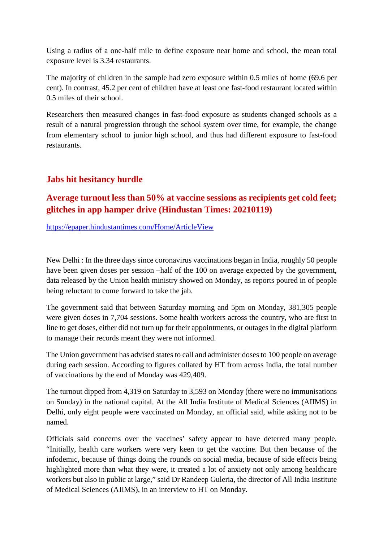Using a radius of a one-half mile to define exposure near home and school, the mean total exposure level is 3.34 restaurants.

The majority of children in the sample had zero exposure within 0.5 miles of home (69.6 per cent). In contrast, 45.2 per cent of children have at least one fast-food restaurant located within 0.5 miles of their school.

Researchers then measured changes in fast-food exposure as students changed schools as a result of a natural progression through the school system over time, for example, the change from elementary school to junior high school, and thus had different exposure to fast-food restaurants.

#### **Jabs hit hesitancy hurdle**

#### **Average turnout less than 50% at vaccine sessions as recipients get cold feet; glitches in app hamper drive (Hindustan Times: 20210119)**

https://epaper.hindustantimes.com/Home/ArticleView

New Delhi : In the three days since coronavirus vaccinations began in India, roughly 50 people have been given doses per session –half of the 100 on average expected by the government, data released by the Union health ministry showed on Monday, as reports poured in of people being reluctant to come forward to take the jab.

The government said that between Saturday morning and 5pm on Monday, 381,305 people were given doses in 7,704 sessions. Some health workers across the country, who are first in line to get doses, either did not turn up for their appointments, or outages in the digital platform to manage their records meant they were not informed.

The Union government has advised states to call and administer doses to 100 people on average during each session. According to figures collated by HT from across India, the total number of vaccinations by the end of Monday was 429,409.

The turnout dipped from 4,319 on Saturday to 3,593 on Monday (there were no immunisations on Sunday) in the national capital. At the All India Institute of Medical Sciences (AIIMS) in Delhi, only eight people were vaccinated on Monday, an official said, while asking not to be named.

Officials said concerns over the vaccines' safety appear to have deterred many people. "Initially, health care workers were very keen to get the vaccine. But then because of the infodemic, because of things doing the rounds on social media, because of side effects being highlighted more than what they were, it created a lot of anxiety not only among healthcare workers but also in public at large," said Dr Randeep Guleria, the director of All India Institute of Medical Sciences (AIIMS), in an interview to HT on Monday.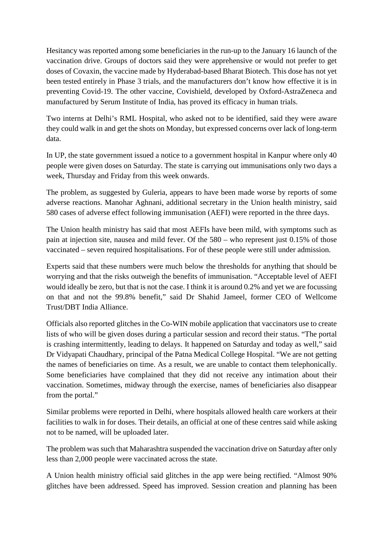Hesitancy was reported among some beneficiaries in the run-up to the January 16 launch of the vaccination drive. Groups of doctors said they were apprehensive or would not prefer to get doses of Covaxin, the vaccine made by Hyderabad-based Bharat Biotech. This dose has not yet been tested entirely in Phase 3 trials, and the manufacturers don't know how effective it is in preventing Covid-19. The other vaccine, Covishield, developed by Oxford-AstraZeneca and manufactured by Serum Institute of India, has proved its efficacy in human trials.

Two interns at Delhi's RML Hospital, who asked not to be identified, said they were aware they could walk in and get the shots on Monday, but expressed concerns over lack of long-term data.

In UP, the state government issued a notice to a government hospital in Kanpur where only 40 people were given doses on Saturday. The state is carrying out immunisations only two days a week, Thursday and Friday from this week onwards.

The problem, as suggested by Guleria, appears to have been made worse by reports of some adverse reactions. Manohar Aghnani, additional secretary in the Union health ministry, said 580 cases of adverse effect following immunisation (AEFI) were reported in the three days.

The Union health ministry has said that most AEFIs have been mild, with symptoms such as pain at injection site, nausea and mild fever. Of the 580 – who represent just 0.15% of those vaccinated – seven required hospitalisations. For of these people were still under admission.

Experts said that these numbers were much below the thresholds for anything that should be worrying and that the risks outweigh the benefits of immunisation. "Acceptable level of AEFI would ideally be zero, but that is not the case. I think it is around 0.2% and yet we are focussing on that and not the 99.8% benefit," said Dr Shahid Jameel, former CEO of Wellcome Trust/DBT India Alliance.

Officials also reported glitches in the Co-WIN mobile application that vaccinators use to create lists of who will be given doses during a particular session and record their status. "The portal is crashing intermittently, leading to delays. It happened on Saturday and today as well," said Dr Vidyapati Chaudhary, principal of the Patna Medical College Hospital. "We are not getting the names of beneficiaries on time. As a result, we are unable to contact them telephonically. Some beneficiaries have complained that they did not receive any intimation about their vaccination. Sometimes, midway through the exercise, names of beneficiaries also disappear from the portal."

Similar problems were reported in Delhi, where hospitals allowed health care workers at their facilities to walk in for doses. Their details, an official at one of these centres said while asking not to be named, will be uploaded later.

The problem was such that Maharashtra suspended the vaccination drive on Saturday after only less than 2,000 people were vaccinated across the state.

A Union health ministry official said glitches in the app were being rectified. "Almost 90% glitches have been addressed. Speed has improved. Session creation and planning has been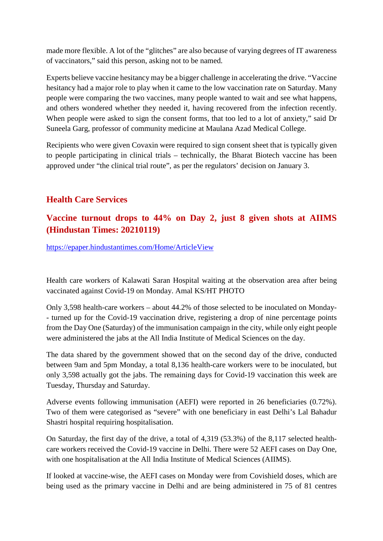made more flexible. A lot of the "glitches" are also because of varying degrees of IT awareness of vaccinators," said this person, asking not to be named.

Experts believe vaccine hesitancy may be a bigger challenge in accelerating the drive. "Vaccine hesitancy had a major role to play when it came to the low vaccination rate on Saturday. Many people were comparing the two vaccines, many people wanted to wait and see what happens, and others wondered whether they needed it, having recovered from the infection recently. When people were asked to sign the consent forms, that too led to a lot of anxiety," said Dr Suneela Garg, professor of community medicine at Maulana Azad Medical College.

Recipients who were given Covaxin were required to sign consent sheet that is typically given to people participating in clinical trials – technically, the Bharat Biotech vaccine has been approved under "the clinical trial route", as per the regulators' decision on January 3.

#### **Health Care Services**

#### **Vaccine turnout drops to 44% on Day 2, just 8 given shots at AIIMS (Hindustan Times: 20210119)**

https://epaper.hindustantimes.com/Home/ArticleView

Health care workers of Kalawati Saran Hospital waiting at the observation area after being vaccinated against Covid-19 on Monday. Amal KS/HT PHOTO

Only 3,598 health-care workers – about 44.2% of those selected to be inoculated on Monday- - turned up for the Covid-19 vaccination drive, registering a drop of nine percentage points from the Day One (Saturday) of the immunisation campaign in the city, while only eight people were administered the jabs at the All India Institute of Medical Sciences on the day.

The data shared by the government showed that on the second day of the drive, conducted between 9am and 5pm Monday, a total 8,136 health-care workers were to be inoculated, but only 3,598 actually got the jabs. The remaining days for Covid-19 vaccination this week are Tuesday, Thursday and Saturday.

Adverse events following immunisation (AEFI) were reported in 26 beneficiaries (0.72%). Two of them were categorised as "severe" with one beneficiary in east Delhi's Lal Bahadur Shastri hospital requiring hospitalisation.

On Saturday, the first day of the drive, a total of 4,319 (53.3%) of the 8,117 selected healthcare workers received the Covid-19 vaccine in Delhi. There were 52 AEFI cases on Day One, with one hospitalisation at the All India Institute of Medical Sciences (AIIMS).

If looked at vaccine-wise, the AEFI cases on Monday were from Covishield doses, which are being used as the primary vaccine in Delhi and are being administered in 75 of 81 centres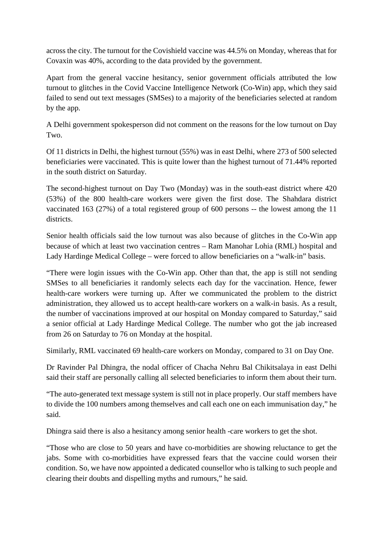across the city. The turnout for the Covishield vaccine was 44.5% on Monday, whereas that for Covaxin was 40%, according to the data provided by the government.

Apart from the general vaccine hesitancy, senior government officials attributed the low turnout to glitches in the Covid Vaccine Intelligence Network (Co-Win) app, which they said failed to send out text messages (SMSes) to a majority of the beneficiaries selected at random by the app.

A Delhi government spokesperson did not comment on the reasons for the low turnout on Day Two.

Of 11 districts in Delhi, the highest turnout (55%) was in east Delhi, where 273 of 500 selected beneficiaries were vaccinated. This is quite lower than the highest turnout of 71.44% reported in the south district on Saturday.

The second-highest turnout on Day Two (Monday) was in the south-east district where 420 (53%) of the 800 health-care workers were given the first dose. The Shahdara district vaccinated 163 (27%) of a total registered group of 600 persons -- the lowest among the 11 districts.

Senior health officials said the low turnout was also because of glitches in the Co-Win app because of which at least two vaccination centres – Ram Manohar Lohia (RML) hospital and Lady Hardinge Medical College – were forced to allow beneficiaries on a "walk-in" basis.

"There were login issues with the Co-Win app. Other than that, the app is still not sending SMSes to all beneficiaries it randomly selects each day for the vaccination. Hence, fewer health-care workers were turning up. After we communicated the problem to the district administration, they allowed us to accept health-care workers on a walk-in basis. As a result, the number of vaccinations improved at our hospital on Monday compared to Saturday," said a senior official at Lady Hardinge Medical College. The number who got the jab increased from 26 on Saturday to 76 on Monday at the hospital.

Similarly, RML vaccinated 69 health-care workers on Monday, compared to 31 on Day One.

Dr Ravinder Pal Dhingra, the nodal officer of Chacha Nehru Bal Chikitsalaya in east Delhi said their staff are personally calling all selected beneficiaries to inform them about their turn.

"The auto-generated text message system is still not in place properly. Our staff members have to divide the 100 numbers among themselves and call each one on each immunisation day," he said.

Dhingra said there is also a hesitancy among senior health -care workers to get the shot.

"Those who are close to 50 years and have co-morbidities are showing reluctance to get the jabs. Some with co-morbidities have expressed fears that the vaccine could worsen their condition. So, we have now appointed a dedicated counsellor who is talking to such people and clearing their doubts and dispelling myths and rumours," he said.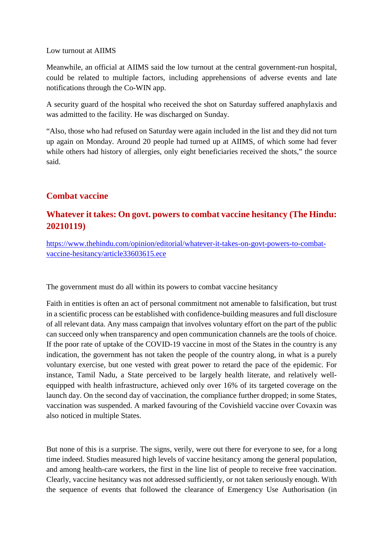#### Low turnout at AIIMS

Meanwhile, an official at AIIMS said the low turnout at the central government-run hospital, could be related to multiple factors, including apprehensions of adverse events and late notifications through the Co-WIN app.

A security guard of the hospital who received the shot on Saturday suffered anaphylaxis and was admitted to the facility. He was discharged on Sunday.

"Also, those who had refused on Saturday were again included in the list and they did not turn up again on Monday. Around 20 people had turned up at AIIMS, of which some had fever while others had history of allergies, only eight beneficiaries received the shots," the source said.

#### **Combat vaccine**

#### **Whatever it takes: On govt. powers to combat vaccine hesitancy (The Hindu: 20210119)**

https://www.thehindu.com/opinion/editorial/whatever-it-takes-on-govt-powers-to-combatvaccine-hesitancy/article33603615.ece

The government must do all within its powers to combat vaccine hesitancy

Faith in entities is often an act of personal commitment not amenable to falsification, but trust in a scientific process can be established with confidence-building measures and full disclosure of all relevant data. Any mass campaign that involves voluntary effort on the part of the public can succeed only when transparency and open communication channels are the tools of choice. If the poor rate of uptake of the COVID-19 vaccine in most of the States in the country is any indication, the government has not taken the people of the country along, in what is a purely voluntary exercise, but one vested with great power to retard the pace of the epidemic. For instance, Tamil Nadu, a State perceived to be largely health literate, and relatively wellequipped with health infrastructure, achieved only over 16% of its targeted coverage on the launch day. On the second day of vaccination, the compliance further dropped; in some States, vaccination was suspended. A marked favouring of the Covishield vaccine over Covaxin was also noticed in multiple States.

But none of this is a surprise. The signs, verily, were out there for everyone to see, for a long time indeed. Studies measured high levels of vaccine hesitancy among the general population, and among health-care workers, the first in the line list of people to receive free vaccination. Clearly, vaccine hesitancy was not addressed sufficiently, or not taken seriously enough. With the sequence of events that followed the clearance of Emergency Use Authorisation (in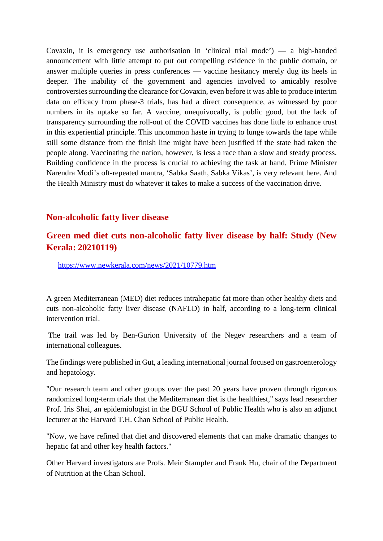Covaxin, it is emergency use authorisation in 'clinical trial mode') — a high-handed announcement with little attempt to put out compelling evidence in the public domain, or answer multiple queries in press conferences — vaccine hesitancy merely dug its heels in deeper. The inability of the government and agencies involved to amicably resolve controversies surrounding the clearance for Covaxin, even before it was able to produce interim data on efficacy from phase-3 trials, has had a direct consequence, as witnessed by poor numbers in its uptake so far. A vaccine, unequivocally, is public good, but the lack of transparency surrounding the roll-out of the COVID vaccines has done little to enhance trust in this experiential principle. This uncommon haste in trying to lunge towards the tape while still some distance from the finish line might have been justified if the state had taken the people along. Vaccinating the nation, however, is less a race than a slow and steady process. Building confidence in the process is crucial to achieving the task at hand. Prime Minister Narendra Modi's oft-repeated mantra, 'Sabka Saath, Sabka Vikas', is very relevant here. And the Health Ministry must do whatever it takes to make a success of the vaccination drive.

#### **Non-alcoholic fatty liver disease**

#### **Green med diet cuts non-alcoholic fatty liver disease by half: Study (New Kerala: 20210119)**

https://www.newkerala.com/news/2021/10779.htm

A green Mediterranean (MED) diet reduces intrahepatic fat more than other healthy diets and cuts non-alcoholic fatty liver disease (NAFLD) in half, according to a long-term clinical intervention trial.

The trail was led by Ben-Gurion University of the Negev researchers and a team of international colleagues.

The findings were published in Gut, a leading international journal focused on gastroenterology and hepatology.

"Our research team and other groups over the past 20 years have proven through rigorous randomized long-term trials that the Mediterranean diet is the healthiest," says lead researcher Prof. Iris Shai, an epidemiologist in the BGU School of Public Health who is also an adjunct lecturer at the Harvard T.H. Chan School of Public Health.

"Now, we have refined that diet and discovered elements that can make dramatic changes to hepatic fat and other key health factors."

Other Harvard investigators are Profs. Meir Stampfer and Frank Hu, chair of the Department of Nutrition at the Chan School.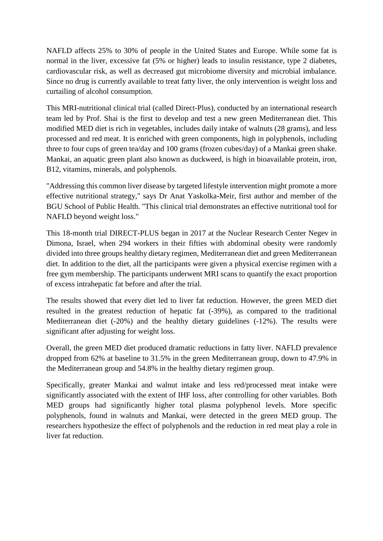NAFLD affects 25% to 30% of people in the United States and Europe. While some fat is normal in the liver, excessive fat (5% or higher) leads to insulin resistance, type 2 diabetes, cardiovascular risk, as well as decreased gut microbiome diversity and microbial imbalance. Since no drug is currently available to treat fatty liver, the only intervention is weight loss and curtailing of alcohol consumption.

This MRI-nutritional clinical trial (called Direct-Plus), conducted by an international research team led by Prof. Shai is the first to develop and test a new green Mediterranean diet. This modified MED diet is rich in vegetables, includes daily intake of walnuts (28 grams), and less processed and red meat. It is enriched with green components, high in polyphenols, including three to four cups of green tea/day and 100 grams (frozen cubes/day) of a Mankai green shake. Mankai, an aquatic green plant also known as duckweed, is high in bioavailable protein, iron, B12, vitamins, minerals, and polyphenols.

"Addressing this common liver disease by targeted lifestyle intervention might promote a more effective nutritional strategy," says Dr Anat Yaskolka-Meir, first author and member of the BGU School of Public Health. "This clinical trial demonstrates an effective nutritional tool for NAFLD beyond weight loss."

This 18-month trial DIRECT-PLUS began in 2017 at the Nuclear Research Center Negev in Dimona, Israel, when 294 workers in their fifties with abdominal obesity were randomly divided into three groups healthy dietary regimen, Mediterranean diet and green Mediterranean diet. In addition to the diet, all the participants were given a physical exercise regimen with a free gym membership. The participants underwent MRI scans to quantify the exact proportion of excess intrahepatic fat before and after the trial.

The results showed that every diet led to liver fat reduction. However, the green MED diet resulted in the greatest reduction of hepatic fat  $(-39\%)$ , as compared to the traditional Mediterranean diet (-20%) and the healthy dietary guidelines (-12%). The results were significant after adjusting for weight loss.

Overall, the green MED diet produced dramatic reductions in fatty liver. NAFLD prevalence dropped from 62% at baseline to 31.5% in the green Mediterranean group, down to 47.9% in the Mediterranean group and 54.8% in the healthy dietary regimen group.

Specifically, greater Mankai and walnut intake and less red/processed meat intake were significantly associated with the extent of IHF loss, after controlling for other variables. Both MED groups had significantly higher total plasma polyphenol levels. More specific polyphenols, found in walnuts and Mankai, were detected in the green MED group. The researchers hypothesize the effect of polyphenols and the reduction in red meat play a role in liver fat reduction.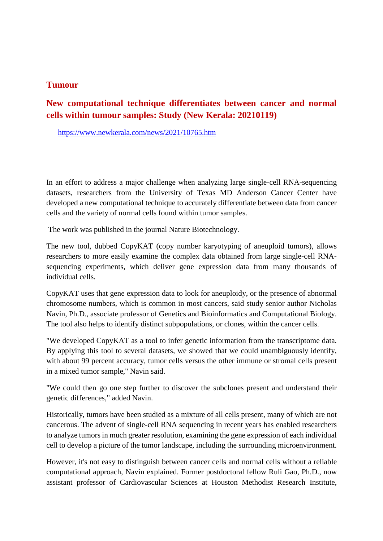#### **Tumour**

#### **New computational technique differentiates between cancer and normal cells within tumour samples: Study (New Kerala: 20210119)**

https://www.newkerala.com/news/2021/10765.htm

In an effort to address a major challenge when analyzing large single-cell RNA-sequencing datasets, researchers from the University of Texas MD Anderson Cancer Center have developed a new computational technique to accurately differentiate between data from cancer cells and the variety of normal cells found within tumor samples.

The work was published in the journal Nature Biotechnology.

The new tool, dubbed CopyKAT (copy number karyotyping of aneuploid tumors), allows researchers to more easily examine the complex data obtained from large single-cell RNAsequencing experiments, which deliver gene expression data from many thousands of individual cells.

CopyKAT uses that gene expression data to look for aneuploidy, or the presence of abnormal chromosome numbers, which is common in most cancers, said study senior author Nicholas Navin, Ph.D., associate professor of Genetics and Bioinformatics and Computational Biology. The tool also helps to identify distinct subpopulations, or clones, within the cancer cells.

"We developed CopyKAT as a tool to infer genetic information from the transcriptome data. By applying this tool to several datasets, we showed that we could unambiguously identify, with about 99 percent accuracy, tumor cells versus the other immune or stromal cells present in a mixed tumor sample," Navin said.

"We could then go one step further to discover the subclones present and understand their genetic differences," added Navin.

Historically, tumors have been studied as a mixture of all cells present, many of which are not cancerous. The advent of single-cell RNA sequencing in recent years has enabled researchers to analyze tumors in much greater resolution, examining the gene expression of each individual cell to develop a picture of the tumor landscape, including the surrounding microenvironment.

However, it's not easy to distinguish between cancer cells and normal cells without a reliable computational approach, Navin explained. Former postdoctoral fellow Ruli Gao, Ph.D., now assistant professor of Cardiovascular Sciences at Houston Methodist Research Institute,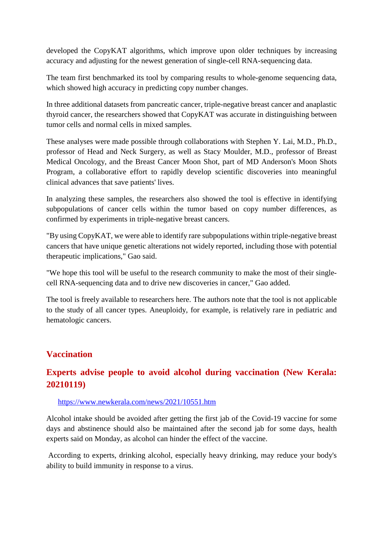developed the CopyKAT algorithms, which improve upon older techniques by increasing accuracy and adjusting for the newest generation of single-cell RNA-sequencing data.

The team first benchmarked its tool by comparing results to whole-genome sequencing data, which showed high accuracy in predicting copy number changes.

In three additional datasets from pancreatic cancer, triple-negative breast cancer and anaplastic thyroid cancer, the researchers showed that CopyKAT was accurate in distinguishing between tumor cells and normal cells in mixed samples.

These analyses were made possible through collaborations with Stephen Y. Lai, M.D., Ph.D., professor of Head and Neck Surgery, as well as Stacy Moulder, M.D., professor of Breast Medical Oncology, and the Breast Cancer Moon Shot, part of MD Anderson's Moon Shots Program, a collaborative effort to rapidly develop scientific discoveries into meaningful clinical advances that save patients' lives.

In analyzing these samples, the researchers also showed the tool is effective in identifying subpopulations of cancer cells within the tumor based on copy number differences, as confirmed by experiments in triple-negative breast cancers.

"By using CopyKAT, we were able to identify rare subpopulations within triple-negative breast cancers that have unique genetic alterations not widely reported, including those with potential therapeutic implications," Gao said.

"We hope this tool will be useful to the research community to make the most of their singlecell RNA-sequencing data and to drive new discoveries in cancer," Gao added.

The tool is freely available to researchers here. The authors note that the tool is not applicable to the study of all cancer types. Aneuploidy, for example, is relatively rare in pediatric and hematologic cancers.

#### **Vaccination**

#### **Experts advise people to avoid alcohol during vaccination (New Kerala: 20210119)**

#### https://www.newkerala.com/news/2021/10551.htm

Alcohol intake should be avoided after getting the first jab of the Covid-19 vaccine for some days and abstinence should also be maintained after the second jab for some days, health experts said on Monday, as alcohol can hinder the effect of the vaccine.

According to experts, drinking alcohol, especially heavy drinking, may reduce your body's ability to build immunity in response to a virus.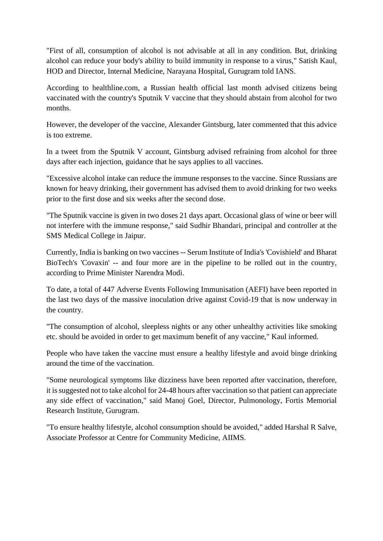"First of all, consumption of alcohol is not advisable at all in any condition. But, drinking alcohol can reduce your body's ability to build immunity in response to a virus," Satish Kaul, HOD and Director, Internal Medicine, Narayana Hospital, Gurugram told IANS.

According to healthline.com, a Russian health official last month advised citizens being vaccinated with the country's Sputnik V vaccine that they should abstain from alcohol for two months.

However, the developer of the vaccine, Alexander Gintsburg, later commented that this advice is too extreme.

In a tweet from the Sputnik V account, Gintsburg advised refraining from alcohol for three days after each injection, guidance that he says applies to all vaccines.

"Excessive alcohol intake can reduce the immune responses to the vaccine. Since Russians are known for heavy drinking, their government has advised them to avoid drinking for two weeks prior to the first dose and six weeks after the second dose.

"The Sputnik vaccine is given in two doses 21 days apart. Occasional glass of wine or beer will not interfere with the immune response," said Sudhir Bhandari, principal and controller at the SMS Medical College in Jaipur.

Currently, India is banking on two vaccines -- Serum Institute of India's 'Covishield' and Bharat BioTech's 'Covaxin' -- and four more are in the pipeline to be rolled out in the country, according to Prime Minister Narendra Modi.

To date, a total of 447 Adverse Events Following Immunisation (AEFI) have been reported in the last two days of the massive inoculation drive against Covid-19 that is now underway in the country.

"The consumption of alcohol, sleepless nights or any other unhealthy activities like smoking etc. should be avoided in order to get maximum benefit of any vaccine," Kaul informed.

People who have taken the vaccine must ensure a healthy lifestyle and avoid binge drinking around the time of the vaccination.

"Some neurological symptoms like dizziness have been reported after vaccination, therefore, it is suggested not to take alcohol for 24-48 hours after vaccination so that patient can appreciate any side effect of vaccination," said Manoj Goel, Director, Pulmonology, Fortis Memorial Research Institute, Gurugram.

"To ensure healthy lifestyle, alcohol consumption should be avoided," added Harshal R Salve, Associate Professor at Centre for Community Medicine, AIIMS.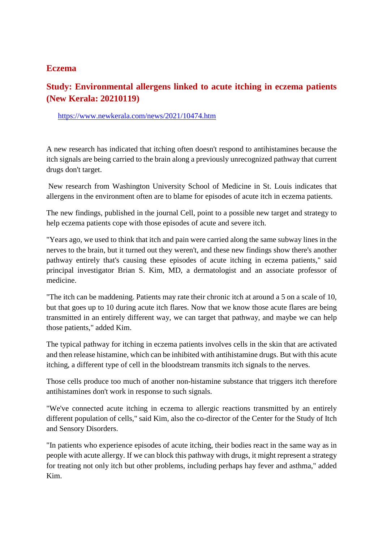#### **Eczema**

#### **Study: Environmental allergens linked to acute itching in eczema patients (New Kerala: 20210119)**

https://www.newkerala.com/news/2021/10474.htm

A new research has indicated that itching often doesn't respond to antihistamines because the itch signals are being carried to the brain along a previously unrecognized pathway that current drugs don't target.

New research from Washington University School of Medicine in St. Louis indicates that allergens in the environment often are to blame for episodes of acute itch in eczema patients.

The new findings, published in the journal Cell, point to a possible new target and strategy to help eczema patients cope with those episodes of acute and severe itch.

"Years ago, we used to think that itch and pain were carried along the same subway lines in the nerves to the brain, but it turned out they weren't, and these new findings show there's another pathway entirely that's causing these episodes of acute itching in eczema patients," said principal investigator Brian S. Kim, MD, a dermatologist and an associate professor of medicine.

"The itch can be maddening. Patients may rate their chronic itch at around a 5 on a scale of 10, but that goes up to 10 during acute itch flares. Now that we know those acute flares are being transmitted in an entirely different way, we can target that pathway, and maybe we can help those patients," added Kim.

The typical pathway for itching in eczema patients involves cells in the skin that are activated and then release histamine, which can be inhibited with antihistamine drugs. But with this acute itching, a different type of cell in the bloodstream transmits itch signals to the nerves.

Those cells produce too much of another non-histamine substance that triggers itch therefore antihistamines don't work in response to such signals.

"We've connected acute itching in eczema to allergic reactions transmitted by an entirely different population of cells," said Kim, also the co-director of the Center for the Study of Itch and Sensory Disorders.

"In patients who experience episodes of acute itching, their bodies react in the same way as in people with acute allergy. If we can block this pathway with drugs, it might represent a strategy for treating not only itch but other problems, including perhaps hay fever and asthma," added Kim.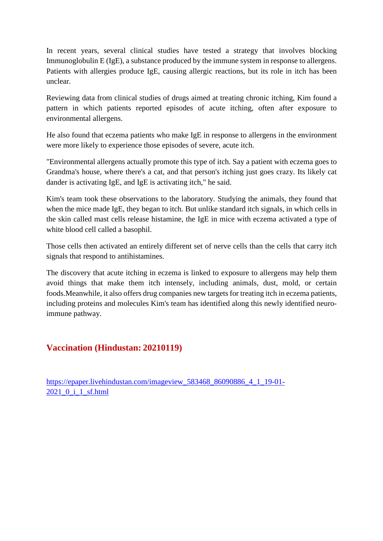In recent years, several clinical studies have tested a strategy that involves blocking Immunoglobulin E (IgE), a substance produced by the immune system in response to allergens. Patients with allergies produce IgE, causing allergic reactions, but its role in itch has been unclear.

Reviewing data from clinical studies of drugs aimed at treating chronic itching, Kim found a pattern in which patients reported episodes of acute itching, often after exposure to environmental allergens.

He also found that eczema patients who make IgE in response to allergens in the environment were more likely to experience those episodes of severe, acute itch.

"Environmental allergens actually promote this type of itch. Say a patient with eczema goes to Grandma's house, where there's a cat, and that person's itching just goes crazy. Its likely cat dander is activating IgE, and IgE is activating itch," he said.

Kim's team took these observations to the laboratory. Studying the animals, they found that when the mice made IgE, they began to itch. But unlike standard itch signals, in which cells in the skin called mast cells release histamine, the IgE in mice with eczema activated a type of white blood cell called a basophil.

Those cells then activated an entirely different set of nerve cells than the cells that carry itch signals that respond to antihistamines.

The discovery that acute itching in eczema is linked to exposure to allergens may help them avoid things that make them itch intensely, including animals, dust, mold, or certain foods.Meanwhile, it also offers drug companies new targets for treating itch in eczema patients, including proteins and molecules Kim's team has identified along this newly identified neuroimmune pathway.

#### **Vaccination (Hindustan: 20210119)**

https://epaper.livehindustan.com/imageview\_583468\_86090886\_4\_1\_19-01- 2021\_0\_i\_1\_sf.html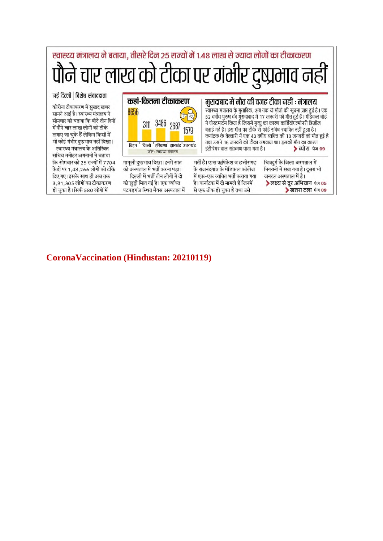

#### **CoronaVaccination (Hindustan: 20210119)**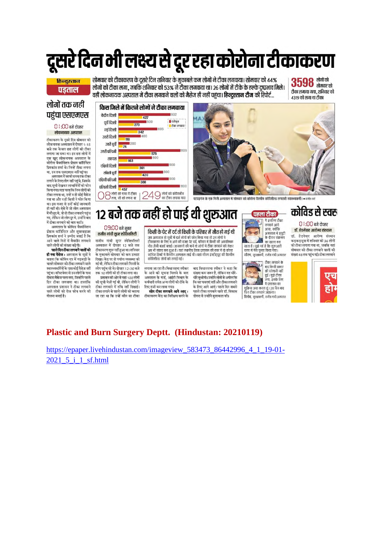# दूसरे दिन भी लक्ष्य से दूर रहा कोरोना टीकाकरण

#### हिन्दुस्तान पडताल

सोमवार को टीकाकरण के दूसरे दिन शनिवार के मुकाबले कम लोगों ने टीका लगवाया। सोमवार को 44% लोगों को टीका लगा. जबकि शनिवार को 53% ने टीका लगवाया था। 26 लोगों में टीके के हल्के दष्प्रभाव मिले। वहीं लोकनायक अस्पताल में टीका लगवाने वालों को मैसेज ही नहीं पहुंचा। **हिन्दुस्तान टीम** की रिपोर्ट...

 $3598$  ਗੈਗੋ ਕੀ टीका लगाया गया. शनिवार को 4319 को लगा था टीका

#### लोगों तक नहीं पहुंचा एसएमएस

0 । :00 बजे दोपहर लोकनायक अस्पताल

टीकाकरण के दमरे दिन सोमवार को लोकनायक अस्पताल में दोपहर 1:15 बजे तक केवल छह लोगों को टीका लगाया जा सका था। इन छह लोगों में रानाना जा समय ना २१ छठ लाना न<br>एक खुद लोकनायक अस्पताल के ्गः जुन् रामिणानम् जारसारम् नः<br>कोरोना वैक्सीनेशन प्रोग्राम कॉर्डिनेटर प्रियकांत शर्मा थे। जिन्हें टीका लगना था. उन तक एसएमएस नहीं पहुंचा।

अस्पताल में काफी समय तक टीका लगाने के लिए लोग नहीं पहुंचे, जिसके रागान काराए साग गढ़ा यह प,ाजसक<br>बाद सूची देखकर लाभार्थियों को फोन - जब पूजा देखकार राग मानवा का गां<br>किया गया। पता चला कि जिन लोगों को ्या। इस वजह से उन्हें कोई जानकारी<br>ही नहीं थी। ऐसे में जो लोग अस्पताल .<br>में मौजूद थे, वो तो टीका लगवाने पहुंच गए. लेकिन जो लोग दर थे. उन्होंने बाद में टीका लगवाने की बात कही।

अस्पताल के कोविड वैक्सीनेशन प्रोग्राम कॉर्डिनेटर और सुपरवाइजर रायने नगर ने उम्मीद जताई है कि<br>प्रियकांत शर्मा ने उम्मीद जताई है कि<br>आने वाले दिनों में वैक्सीन लगवाने .<br>वाले लोगों की संख्या बढ़ेगी।

सहले दिन टीका लगवाने वालों को **ही गया मैसेज :** अस्पताल के सूत्रों ने बताया कि कोविन एप में गडबड़ी के चलते सोमवार को टीका लगवाने वाले स्तास्थानप्रतियों के पास कोई पैसेज नहीं पहुंचा। सॉफ्टवेयर से उन लोगों के पास दोबारा मैसेज चला गया, जिन्होंने पहले दिन टीका लगवाया था। हालांकि अस्पताल प्रशासन ने टीका लगवाने वाले लोगों को रोज फोन करने की योजना बनाई है।





.<br>पटपडगंज के एक निजी अस्पताल में सोमतार को कोरोना वैक्सीन कोतिशील्ड लगताती स्वास्थ्यकर्मी। • संजीव वर्ग

पहला टीका

.<br>मैं इसलिए टीका

लगवान जान<br>आया, क्योंकि<br>अस्पताल में ड्यूटी

के दौरान संक्रमण

का खतरा बना

टीका लगवाने के

बाद किसी प्रकार<br>की परेशानी नहीं

लगवाने आगे

# 12 बजे तक नहीं हो पाई थी शुरुआत

#### **09:00 बजे सुबह** राजीव गांधी सुपर स्पेशियलिटी

राजीव गांधी सुपर स्पेशियलिटी अस्पताल में दोपहर 12 बजे तक टीकाकरण शुरू नहीं हुआ था। शनिवार के मुकाबले सोमवार को कम उत्साह .<br>दिखा। केंद्र पर तो पर्याप्त व्यवस्था की गई थी, लेकिन टीका लगवाने गिनती के लोग पहुंच रहे थे। दोपहर 12:30 बजे तक 10 लोगों को ही टीका लगा था।

प्रशासन की ओर से यहां 100 लोगों की सूची भेजी गई थी, लेकिन लोगों ने टीका लगवाने में रुचि नहीं दिखाई। टीका लगाने से पहले लोगों को बताया जा रहा था कि उन्हें कौन सा टीका

#### किसी के पेट में दर्द तो किसी के परिवार में मौत हो गई थी

जब अस्पताल से सची में दर्ज लोगों को फोन किया गया तो उन लोगों ने ी काकरण के लिए न आने की वजह पेट दर्द, पत्रिवार में किसी की अकारिमक<br>टीकाकरण के लिए न आने की वजह पेट दर्द, परिवार में किसी की अकारिमक<br>मौत जैसी वजहें बताईं। जानकारों की मानें तो लोगों में टीका लगवाने को लेकर ास थी संशय बना हुआ है । यहां स्थानीय जिला प्रशासन की कार में दो कोल्ड<br>अब भी संशय बना हुआ है । यहां स्थानीय जिला प्रशासन की कार में दो कोल्ड<br>स्टोरेज डिब्बों में वैक्सीन अस्पताल लाई थी । यहां सीरम इंस्टीट्यूट की वैक्सीन कोविशील्ड लोगों को लगाई गई।

लगाया जा रहा है। विभाजमधा स्पीकर के आने की सूचना मिलने के बाद अस्पताल के गार्ड. आईटी विभाग के कर्मचारी समेत अन्य लोगों को टीके के लिए राजी कर लाया गया।<br>लिए राजी कर लाया गया।<br>**लोग टीका लगवाने आगे आए** :

टीकाकरण केंद्र का निरीक्षण करने के

रहता है। मुझे गर्व है कि शुरुआती<br>चरण में मेरा चुनाव किया गया।<br>चोरभ, सुरक्षाकर्मी, राजीव गांधी अस्पताल बाट विधानसभा समेकर ने कहा कि संख्या कम जरूर है, लेकिन यह धीरे-धीरे सधरेगी। उन्होंने लोगों से अपील कि कि वह घबराएं नहीं और टीका लगवाने के लिए आगे आएं। पहले दिन सबसे पहले टीका लगवाने वाले डॉ. विकास

डोगरा से उन्होंने मुलाकात की।

हुई । मुझे टीका<br>लगा, इसके लिए मैं प्रशासन का शुक्रिया अदा करता हूं। 28 दिन बाद<br>फिर टीका लगवाने आऊंगा। विनोद, सुरक्षाकर्मी, राजीव गांधी अस्पताल

### कोविड से स्वरू

#### 0 । :00 बजे दोपहर डॉ. हेडनेवार आरोग्य संस्थान

डॉ. हेडगेवार आरोग्य संस्थान ...<br>कडकडडमा में शनिवार को 36 लोगों को टीका लगाया गया था, जबकि यहां सोमवार को टीका लगवाने वालों की संख्या 48 तक पहुंच गई। टीका लगवाने



#### **Plastic and Burn Surgery Deptt. (Hindustan: 20210119)**

https://epaper.livehindustan.com/imageview\_583473\_86442996\_4\_1\_19-01- 2021 5 i 1 sf.html